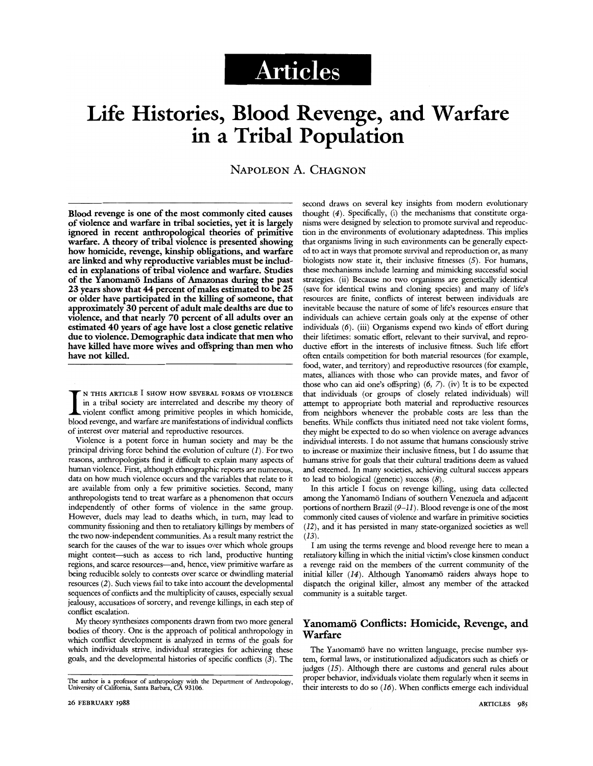# **Articles**

## **Life Histories, Blood Revenge, and Warfare in a Tribal Population**

### **NAPOLEON A. CHAGNON**

**Blood revenge is one of the most commonly cited causes of violence and warfare in tribal societies, yet it is largely ignored in recent anthropological theories of primitive warfare. A theory of tribal violence is presented showing how homicide, revenge, kinship obligations, and warfare are linked and why reproductive variables must be included in explanations of tribal violence and warfare. Studies of the Yanomamo Indians of Amazonas during the past 23 years show that 44 percent of males estimated to be 25 or older have participated in the killing of someone, that approximately 30 percent of adult male dealths are due to violence, and that nearly 70 percent of all adults over an estimated 40 years of age have lost a close genetic relative due to violence. Demographic data indicate that men who have killed have more wives and offspring than men who have not killed.** 

**JN THIS ARTICLE I SHOW HOW SEVERAL FORMS OF VIOLENCE in a tribal society are interrelated and describe my theory of violent conflict among primitive peoples in which homicide, blood revenge, and warfare are manifestations of individual conflicts of interest over material and reproductive resources.** 

**Violence is a potent force in human society and may be the principal driving force behind the evolution of culture (1). For two reasons, anthropologists find it difficult to explain many aspects of human violence. First, although ethnographic reports are numerous, data on how much violence occurs and the variables that relate to it are available from only a few primitive societies. Second, many anthropologists tend to treat warfare as a phenomenon that occurs independently of other forms of violence in the same group. However, duels may lead to deaths which, in turn, may lead to community fissioning and then to retaliatory killings by members of the two now-independent communities. As a result many restrict the search for the causes of the war to issues over which whole groups might contest-such as access to rich land, productive hunting regions, and scarce resources-and, hence, view primitive warfare as being reducible solely to contests over scarce or dwindling material resources (2). Such views fail to take into account the developmental sequences of conflicts and the multiplicity of causes, especially sexual jealousy, accusations of sorcery, and revenge killings, in each step of conflict escalation.** 

**My theory synthesizes components drawn from two more general bodies of theory. One is the approach of political anthropology in which conflict development is analyzed in terms of the goals for which individuals strive, individual strategies for achieving these goals, and the developmental histories of specific conflicts (3). The**  **second draws on several key insights from modern evolutionary thought (4). Specifically, (i) the mechanisms that constitute organisms were designed by selection to promote survival and reproduction in the environments of evolutionary adaptedness. This implies that organisms living in such environments can be generally expected to act in ways that promote survival and reproduction or, as many biologists now state it, their inclusive fitnesses (5). For humans, these mechanisms include learning and mimicking successful social strategies. (ii) Because no two organisms are genetically identical (save for identical twins and cloning species) and many of life's resources are finite, conflicts of interest between individuals are inevitable because the nature of some of life's resources ensure that individuals can achieve certain goals only at the expense of other individuals (6). (iii) Organisms expend two kinds of effort during their lifetimes: somatic effort, relevant to their survival, and reproductive effort in the interests of inclusive fitness. Such life effort often entails competition for both material resources (for example, food, water, and territory) and reproductive resources (for example, mates, alliances with those who can provide mates, and favor of those who can aid one's offspring) (6, 7). (iv) It is to be expected that individuals (or groups of closely related individuals) will attempt to appropriate both material and reproductive resources from neighbors whenever the probable costs are less than the benefits. While conflicts thus initiated need not take violent forms, they might be expected to do so when violence on average advances individual interests. I do not assume that humans consciously strive to increase or maximize their inclusive fitness, but I do assume that humans strive for goals that their cultural traditions deem as valued and esteemed. In many societies, achieving cultural success appears to lead to biological (genetic) success (8).** 

**In this article I focus on revenge killing, using data collected among the Yanomamo Indians of southern Venezuela and adjacent portions of northern Brazil (9-11). Blood revenge is one of the most commonly cited causes of violence and warfare in primitive societies (12), and it has persisted in many state-organized societies as well**   $(13)$ .

**I am using the terms revenge and blood revenge here to mean a retaliatory killing in which the initial victim's close kinsmen conduct a revenge raid on the members of the current community of the**  initial killer (14). Although Yanomamö raiders always hope to **dispatch the original killer, almost any member of the attacked community is a suitable target.** 

#### **Yanomamo Conflicts: Homicide, Revenge, and Warfare**

The Yanomamö have no written language, precise number sys**tem, formal laws, or institutionalized adjudicators such as chiefs or judges (15). Although there are customs and general rules about proper behavior, individuals violate them regularly when it seems in their interests to do so (16). When conflicts emerge each individual** 

**The author is a professor of anthropology with the Department of Anthropology, University of California, Santa Barbara, CA 93106.**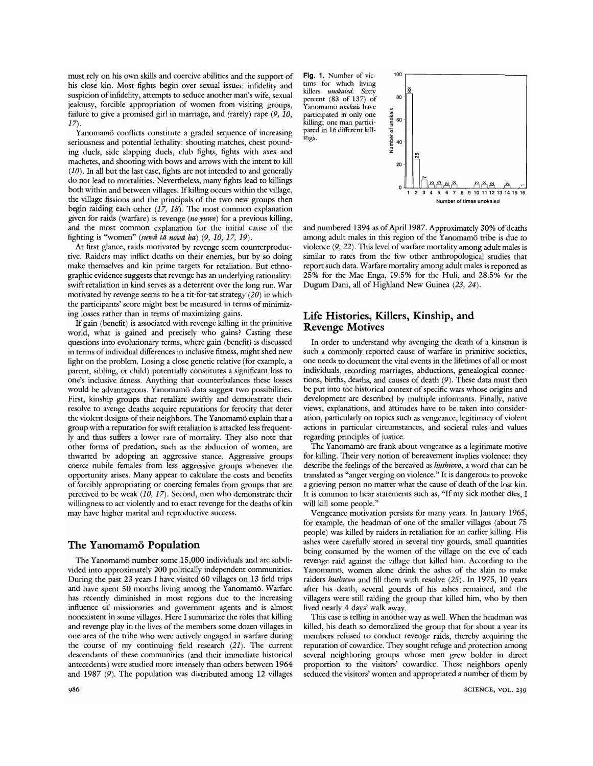**must rely on his own skills and coercive abilities and the support of his close kin. Most fights begin over sexual issues: infidelity and suspicion of infidelity, attempts to seduce another man's wife, sexual jealousy, forcible appropriation of women from visiting groups, failure to give a promised girl in marriage, and (rarely) rape (9, 10,**   $17$ 

Yanomamö conflicts constitute a graded sequence of increasing **seriousness and potential lethality: shouting matches, chest pounding duels, side slapping duels, club fights, fights with axes and machetes, and shooting with bows and arrows with the intent to kill (10). In all but the last case, fights are not intended to and generally do not lead to mortalities. Nevertheless, many fights lead to killings both within and between villages. If killing occurs within the village, the village fissions and the principals of the two new groups then begin raiding each other (17, 18). The most common explanation given for raids (warfare) is revenge (no yuwo) for a previous killing, and the most common explanation for the initial cause of the**  fighting is "women" (suwä tä nowä ha) (9, 10, 17, 19).

**At first glance, raids motivated by revenge seem counterproductive. Raiders may inflict deaths on their enemies, but by so doing make themselves and kin prime targets for retaliation. But ethnographic evidence suggests that revenge has an underlying rationality: swift retaliation in kind serves as a deterrent over the long run. War motivated by revenge seems to be a tit-for-tat strategy (20) in which the participants' score might best be measured in terms of minimizing losses rather than in terms of maximizing gains.** 

**If gain (benefit) is associated with revenge killing in the primitive world, what is gained and precisely who gains? Casting these questions into evolutionary terms, where gain (benefit) is discussed in terms of individual differences in inclusive fitness, might shed new light on the problem. Losing a close genetic relative (for example, a parent, sibling, or child) potentially constitutes a significant loss to one's inclusive fitness. Anything that counterbalances these losses would be advantageous. Yanomamo data suggest two possibilities. First, kinship groups that retaliate swiftly and demonstrate their resolve to avenge deaths acquire reputations for ferocity that deter the violent designs of their neighbors. The Yanomamo explain that a group with a reputation for swift retaliation is attacked less frequently and thus suffers a lower rate of mortality. They also note that other forms of predation, such as the abduction of women, are thwarted by adopting an aggressive stance. Aggressive groups coerce nubile females from less aggressive groups whenever the opportunity arises. Many appear to calculate the costs and benefits of forcibly appropriating or coercing females from groups that are perceived to be weak (10, 17). Second, men who demonstrate their willingness to act violently and to exact revenge for the deaths of kin may have higher marital and reproductive success.** 

#### **The Yanomamö Population**

The Yanomamö number some 15,000 individuals and are subdi**vided into approximately 200 politically independent communities. During the past 23 years I have visited 60 villages on 13 field trips and have spent 50 months living among the Yanomamo. Warfare has recently diminished in most regions due to the increasing influence of missionaries and government agents and is almost nonexistent in some villages. Here I summarize the roles that killing and revenge play in the lives of the members some dozen villages in one area of the tribe who were actively engaged in warfare during the course of my continuing field research (21). The current descendants of these communities (and their immediate historical antecedents) were studied more intensely than others between 1964 and 1987 (9). The population was distributed among 12 villages** 

Fig. 1. Number of vic<sup>100</sup> **tims for which living**  killers *unokaied*. Sixty <u>&</u> **percent (83 of 137) of 80 Yanomamo unokais have**  participated in only one <br>**killing**; one man partici-  $\frac{18}{5}$ <sup>60</sup> participated in only one<br>
killing; one man partici-<br>
pated in 16 different kill**ings. 40** 



**and numbered 1394 as of April 1987. Approximately 30% of deaths among adult males in this region of the Yanomamd tribe is due to violence (9, 22). This level of warfare mortality among adult males is similar to rates from the few other anthropological studies that report such data. Warfare mortality among adult males is reported as 25% for the Mae Enga, 19.5% for the Huh, and 28.5% for the Dugum Dani, all of Highland New Guinea (23, 24).** 

#### **Life Histories, Killers, Kinship, and Revenge Motives**

**In order to understand why avenging the death of a kinsman is such a commonly reported cause of warfare in primitive societies, one needs to document the vital events in the lifetimes of all or most individuals, recording marriages, abductions, genealogical connections, births, deaths, and causes of death (9). These data must then be put into the historical context of specific wars whose origins and development are described by multiple informants. Finally, native views, explanations, and attitudes have to be taken into consideration, particularly on topics such as vengeance, legitimacy of violent actions in particular circumstances, and societal rules and values regarding principles of justice.** 

**The Yanomam6 are frank about vengeance as a legitimate motive for killing. Their very notion of bereavement implies violence: they describe the feelings of the bereaved as hushuwo, a word that can be translated as "anger verging on violence." It is dangerous to provoke a grieving person no matter what the cause of death of the lost kin. It is common to hear statements such as, "If my sick mother dies, I will kill some people."** 

**Vengeance motivation persists for many years. In January 1965, for example, the headman of one of the smaller villages (about 75 people) was killed by raiders in retaliation for an earlier killing. His ashes were carefully stored in several tiny gourds, small quantities being consumed by the women of the village on the eve of each revenge raid against the village that killed him. According to the Yanomamd, women alone drink the ashes of the slain to make raiders hushuwo and fill them with resolve (25). In 1975, 10 years after his death, several gourds of his ashes remained, and the villagers were still raiding the group that killed him, who by then lived nearly 4 days' walk away.** 

**This case is telling in another way as well. When the headman was killed, his death so demoralized the group that for about a year its members refused to conduct revenge raids, thereby acquiring the**  reputation of cowardice. They sought refuge and protection among **several neighboring groups whose men grew bolder in direct proportion to the visitors' cowardice. These neighbors openly seduced the visitors' women and appropriated a number of them by**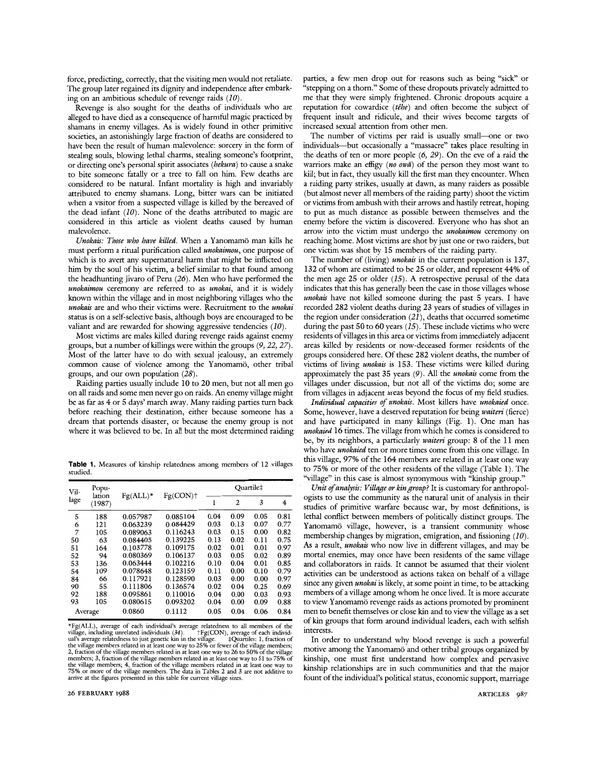**force, predicting, correctly, that the visiting men would not retaliate. The group later regained its dignity and independence after embarking on an ambitious schedule of revenge raids (10).** 

**Revenge is also sought for the deaths of individuals who are alleged to have died as a consequence of harmful magic practiced by shamans in enemy villages. As is widely found in other primitive societies, an astonishingly large fraction of deaths are considered to have been the result of human malevolence: sorcery in the form of stealing souls, blowing lethal charms, stealing someone's footprint, or directing one's personal spirit associates (hekura) to cause a snake to bite someone fatally or a tree to fall on him. Few deaths are considered to be natural. Infant mortality is high and invariably attributed to enemy shamans. Long, bitter wars can be initiated when a visitor from a suspected village is killed by the bereaved of the dead infant (10). None of the deaths attributed to magic are considered in this article as violent deaths caused by human malevolence.** 

**Unokais: Those who have killed. When a Yanomamo man kills he must perform a ritual purification called unokaimou, one purpose of which is to avert any supernatural harm that might be inflicted on him by the soul of his victim, a belief similar to that found among the headhunting Jivaro of Peru (26). Men who have performed the unokaimou ceremony are referred to as unokai, and it is widely known within the village and in most neighboring villages who the unokais are and who their victims were. Recruitment to the unokai status is on a self-selective basis, although boys are encouraged to be**  valiant and are rewarded for showing aggressive tendencies (10).

**Most victims are males killed during revenge raids against enemy groups, but a number of killings were within the groups (9, 22, 27). Most of the latter have to do with sexual jealousy, an extremely common cause of violence among the Yanomamo, other tribal groups, and our own population (28).** 

**Raiding parties usually include 10 to 20 men, but not all men go on all raids and some men never go on raids. An enemy village might be as far as 4 or 5 days' march away. Many raiding parties turn back before reaching their destination, either because someone has a dream that portends disaster, or because the enemy group is not where it was believed to be. In all but the most determined raiding** 

**Table 1. Measures of kinship relatedness among members of 12 villages studied.** 

| Vil-<br>lage | Popu-<br>lation<br>(1987) | $Fg(ALL)*$ | $Fg(CON)$ <sup>+</sup> | Ouartile# |                |      |      |
|--------------|---------------------------|------------|------------------------|-----------|----------------|------|------|
|              |                           |            |                        | ı         | $\overline{2}$ | 3    | 4    |
| 5            | 188                       | 0.057987   | 0.085104               | 0.04      | 0.09           | 0.05 | 0.81 |
| 6            | 121                       | 0.063239   | 0.084429               | 0.03      | 0.13           | 0.07 | 0.77 |
| 7            | 105                       | 0.089063   | 0.116243               | 0.03      | 0.15           | 0.00 | 0.82 |
| 50           | 63                        | 0.084405   | 0.139225               | 0.13      | 0.02           | 0.11 | 0.75 |
| 51           | 164                       | 0.103778   | 0.109175               | 0.02      | 0.01           | 0.01 | 0.97 |
| 52           | 94                        | 0.080369   | 0.106137               | 0.03      | 0.05           | 0.02 | 0.89 |
| 53           | 136                       | 0.063444   | 0.102216               | 0.10      | 0.04           | 0.01 | 0.85 |
| 54           | 109                       | 0.078648   | 0.123159               | 0.11      | 0.00           | 0.10 | 0.79 |
| 84           | 66                        | 0.117921   | 0.128590               | 0.03      | 0.00           | 0.00 | 0.97 |
| 90           | 55                        | 0.111806   | 0.136574               | 0.02      | 0.04           | 0.25 | 0.69 |
| 92           | 188                       | 0.095861   | 0.110016               | 0.04      | 0.00           | 0.03 | 0.93 |
| 93           | 105                       | 0.080615   | 0.093202               | 0.04      | 0.00           | 0.09 | 0.88 |
| Average      |                           | 0.0860     | 0.1112                 | 0.05      | 0.04           | 0.06 | 0.84 |

\*Fg(ALL), average of each individual's average relatedness to all members of the village, including unrelated individuals  $(34)$ .  $+$ Fg(CON), average of each individual's average relatedness to just genetic kin in the vil **the village members; 4, fraction of the village members related in at least one way to 75% or more of the village members. The data in Tables 2 and 3 are not additive to arrive at the figures presented in this table for current village sizes.** 

**26 FEBRUARY 1988** 

**parties, a few men drop out for reasons such as being "sick" or "stepping on a thorn." Some of these dropouts privately admitted to me that they were simply frightened. Chronic dropouts acquire a**  reputation for cowardice (têhe) and often become the subject of **frequent insult and ridicule, and their wives become targets of increased sexual attention from other men.** 

**The number of victims per raid is usually small-one or two individuals-but occasionally a "massacre" takes place resulting in the deaths of ten or more people (6, 29). On the eve of a raid the**  warriors make an effigy (no owa) of the person they most want to **kill; but in fact, they usually kill the first man they encounter. When a raiding party strikes, usually at dawn, as many raiders as possible (but almost never all members of the raiding party) shoot the victim or victims from ambush with their arrows and hastily retreat, hoping to put as much distance as possible between themselves and the enemy before the victim is discovered. Everyone who has shot an arrow into the victim must undergo the unokaimou ceremony on reaching home. Most victims are shot by just one or two raiders, but one victim was shot by 15 members of the raiding party.** 

**The number of (living) unokais in the current population is 137, 132 of whom are estimated to be 25 or older, and represent 44% of the men age 25 or older (15). A retrospective perusal of the data indicates that this has generally been the case in those villages whose unokais have not killed someone during the past 5 years. I have recorded 282 violent deaths during 23 years of studies of villages in the region under consideration (21), deaths that occurred sometime during the past 50 to 60 years (15). These include victims who were residents of villages in this area or victims from immediately adjacent areas killed by residents or now-deceased former residents of the groups considered here. Of these 282 violent deaths, the number of victims of living unokais is 153. These victims were killed during approximately the past 35 years (9). All the unokais come from the villages under discussion, but not all of the victims do; some are from villages in adjacent areas beyond the focus of my field studies.** 

**Individual capacities of unokais. Most killers have unokaied once. Some, however, have a deserved reputation for being waiteri (fierce) and have participated in many killings (Fig. 1). One man has unokaied 16 times. The village from which he comes is considered to be, by its neighbors, a particularly waiteri group: 8 of the 11 men who have unokaied ten or more times come from this one village. In this village, 97% of the 164 members are related in at least one way to 75% or more of the other residents of the village (Table 1). The "village" in this case is almost synonymous with "kinship group."** 

Unit of analysis: Village or kin group? It is customary for anthropol**ogists to use the community as the natural unit of analysis in their studies of primitive warfare because war, by most definitions, is lethal conflict between members of politically distinct groups. The Yanomam6 village, however, is a transient community whose membership changes by migration, emigration, and fissioning (10). As a result, unokais who now live in different villages, and may be mortal enemies, may once have been residents of the same village and collaborators in raids. It cannot be assumed that their violent activities can be understood as actions taken on behalf of a village since any given unokai is likely, at some point in time, to be attacking members of a village among whom he once lived. It is more accurate to view Yanomam6 revenge raids as actions promoted by prominent men to benefit themselves or close kin and to view the village as a set of kin groups that form around individual leaders, each with selfish interests.** 

**In order to understand why blood revenge is such a powerful motive among the Yanomamo and other tribal groups organized by kinship, one must first understand how complex and pervasive kinship relationships are in such communities and that the major fount of the individual's political status, economic support, marriage**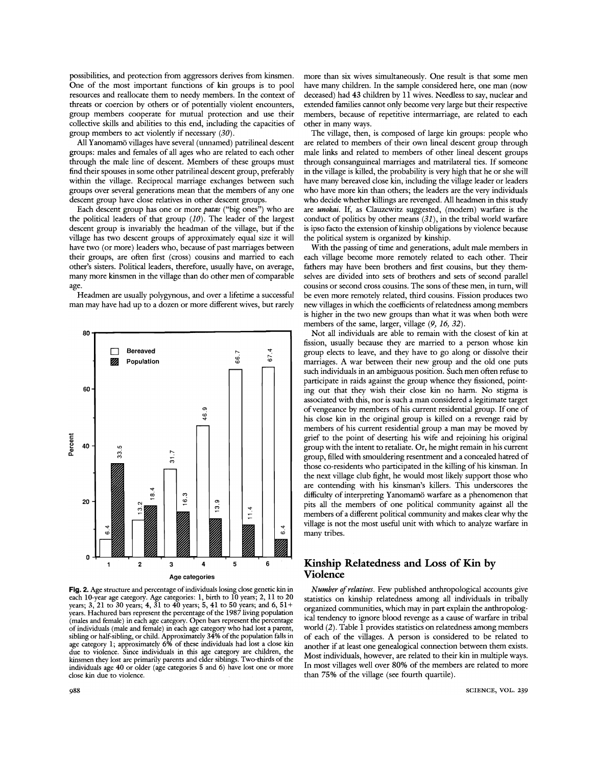**possibilities, and protection from aggressors derives from kinsmen. One of the most important functions of kin groups is to pool resources and reallocate them to needy members. In the context of threats or coercion by others or of potentially violent encounters, group members cooperate for mutual protection and use their collective skills and abilities to this end, including the capacities of group members to act violently if necessary (30).** 

**All Yanomam6 villages have several (unnamed) patrilineal descent groups: males and females of all ages who are related to each other through the male line of descent. Members of these groups must find their spouses in some other patrilineal descent group, preferably within the village. Reciprocal marriage exchanges between such groups over several generations mean that the members of any one descent group have close relatives in other descent groups.** 

**Each descent group has one or more patas ("big ones") who are the political leaders of that group (10). The leader of the largest descent group is invariably the headman of the village, but if the village has two descent groups of approximately equal size it will have two (or more) leaders who, because of past marriages between their groups, are often first (cross) cousins and married to each other's sisters. Political leaders, therefore, usually have, on average, many more kinsmen in the village than do other men of comparable age.** 

**Headmen are usually polygynous, and over a lifetime a successful man may have had up to a dozen or more different wives, but rarely** 



**Fig. 2. Age structure and percentage of individuals losing close genetic kin in each 10-year age category. Age categories: 1, birth to 10 years; 2, 11 to 20 years; 3, 21 to 30 years; 4, 31 to 40 years; 5, 41 to 50 years; and 6, 51+ years. Hachured bars represent the percentage of the 1987 living population (males and female) in each age category. Open bars represent the percentage of individuals (male and female) in each age category who had lost a parent, sibling or half-sibling, or child. Approximately 34% of the population falls in age category 1; approximately 6% of these individuals had lost a close kin due to violence. Since individuals in this age category are children, the kinsmen they lost are primarily parents and elder siblings. Two-thirds of the individuals age 40 or older (age categories 5 and 6) have lost one or more close kin due to violence.** 

**more than six wives simultaneously. One result is that some men have many children. In the sample considered here, one man (now deceased) had 43 children by 11 wives. Needless to say, nuclear and extended families cannot only become very large but their respective members, because of repetitive intermarriage, are related to each other in many ways.** 

**The village, then, is composed of large kin groups: people who are related to members of their own lineal descent group through male links and related to members of other lineal descent groups through consanguineal marriages and matrilateral ties. If someone in the village is killed, the probability is very high that he or she will have many bereaved close kin, including the village leader or leaders who have more kin than others; the leaders are the very individuals who decide whether killings are revenged. All headmen in this study are unokai. If, as Clauzewitz suggested, (modern) warfare is the conduct of politics by other means (31), in the tribal world warfare is ipso facto the extension of kinship obligations by violence because the political system is organized by kinship.** 

**With the passing of time and generations, adult male members in each village become more remotely related to each other. Their fathers may have been brothers and first cousins, but they themselves are divided into sets of brothers and sets of second parallel cousins or second cross cousins. The sons of these men, in turn, will be even more remotely related, third cousins. Fission produces two new villages in which the coefficients of relatedness among members is higher in the two new groups than what it was when both were members of the same, larger, village (9, 16, 32).** 

**Not all individuals are able to remain with the closest of kin at fission, usually because they are married to a person whose kin group elects to leave, and they have to go along or dissolve their marriages. A war between their new group and the old one puts such individuals in an ambiguous position. Such men often refuse to participate in raids against the group whence they fissioned, pointing out. that they wish their close kin no harm. No stigma is associated with this, nor is such a man considered a legitimate target of vengeance by members of his current residential group. If one of his close kin in the original group is killed on a revenge raid by members of his current residential group a man may be moved by grief to the point of deserting his wife and rejoining his original group with the intent to retaliate. Or, he might remain in his current group, filled with smouldering resentment and a concealed hatred of those co-residents who participated in the killing of his kinsman. In the next village club fight, he would most likely support those who are contending with his kinsman's killers. This underscores the**  difficulty of interpreting Yanomamö warfare as a phenomenon that **pits all the members of one political community against all the members of a different political community and makes clear why the village is not the most useful unit with which to analyze warfare in many tribes.** 

#### **Kinship Relatedness and Loss of Kin by Violence**

**Number of relatives. Few published anthropological accounts give statistics on kinship relatedness among all individuals in tribally organized communities, which may in part explain the anthropological tendency to ignore blood revenge as a cause of warfare in tribal world (2). Table 1 provides statistics on relatedness among members of each of the villages. A person is considered to be related to another if at least one genealogical connection between them exists. Most individuals, however, are related to their kin in multiple ways. In most villages well over 80% of the members are related to more than 75% of the village (see fourth quartile).**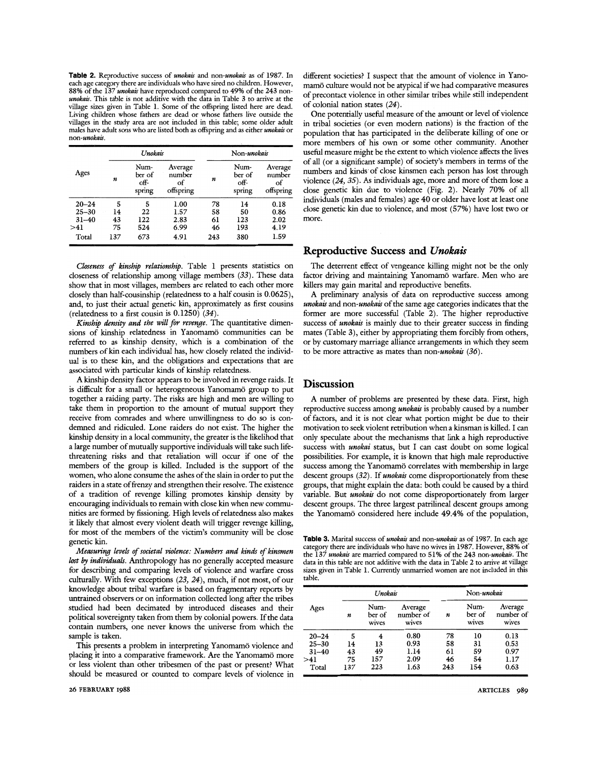**Table 2. Reproductive success of unokais and non-unokais as of 1987. In each age category there are individuals who have sired no children. However, 88% of the 137 unokais have reproduced compared to 49% of the 243 nonunokais. This table is not additive with the data in Table 3 to arrive at the village sizes given in Table 1. Some of the offspring listed here are dead. Living children whose fathers are dead or whose fathers live outside the villages in the study area are not included in this table; some older adult males have adult sons who are listed both as offspring and as either unokais or non-unokais.** 

|           | Unokais |                                  |                                      | Non-unokais |                                        |                                      |  |
|-----------|---------|----------------------------------|--------------------------------------|-------------|----------------------------------------|--------------------------------------|--|
| Ages      | n       | Num-<br>ber of<br>off-<br>spring | Average<br>number<br>of<br>offspring | n           | Num-<br>ber of<br>$\int_{0}$<br>spring | Average<br>number<br>of<br>offspring |  |
| $20 - 24$ | 5       | 5                                | 1.00                                 | 78          | 14                                     | 0.18                                 |  |
| $25 - 30$ | 14      | 22                               | 1.57                                 | 58          | 50                                     | 0.86                                 |  |
| $31 - 40$ | 43      | 122                              | 2.83                                 | 61          | 123                                    | 2.02                                 |  |
| >41       | 75      | 524                              | 6.99                                 | 46          | 193                                    | 4.19                                 |  |
| Total     | 137     | 673                              | 4.91                                 | 243         | 380                                    | 1.59                                 |  |

**Closeness of kinship relationship. Table 1 presents statistics on closeness of relationship among village members (33). These data show that in most villages, members are related to each other more closely than half-cousinship (relatedness to a half cousin is 0.0625), and, to just their actual genetic kin, approximately as first cousins (relatedness to a first cousin is 0.1250) (34).** 

**Kinship density and the will for revenge. The quantitative dimen**sions of kinship relatedness in Yanomamö communities can be **referred to as kinship density, which is a combination of the numbers of kin each individual has, how closely related the individual is to these kin, and the obligations and expectations that are associated with particular kinds of kinship relatedness.** 

**A kinship density factor appears to be involved in revenge raids. It**  is difficult for a small or heterogeneous Yanomamö group to put **together a raiding party. The risks are high and men are willing to take them in proportion to the amount of mutual support they receive from comrades and where unwillingness to do so is condemned and ridiculed. Lone raiders do not exist. The higher the kinship density in a local community, the greater is the likelihod that a large number of mutually supportive individuals will take such lifethreatening risks and that retaliation will occur if one of the members of the group is killed. Included is the support of the women, who alone consume the ashes of the slain in order to put the raiders in a state of frenzy and strengthen their resolve. The existence of a tradition of revenge killing promotes kinship density by encouraging individuals to remain with close kin when new communities are formed by fissioning. High levels of relatedness also makes it likely that almost every violent death will trigger revenge killing, for most of the members of the victim's community will be close genetic kin.** 

**Measuring levels of societal violence: Numbers and kinds of kinsmen lost by individuals. Anthropology has no generally accepted measure for describing and comparing levels of violence and warfare cross culturally. With few exceptions (23, 24), much, if not most, of our knowledge about tribal warfare is based on fragmentary reports by untrained observers or on information collected long after the tribes studied had been decimated by introduced diseases and their political sovereignty taken from them by colonial powers. If the data contain numbers, one never knows the universe from which the sample is taken.** 

**This presents a problem in interpreting Yanomamo violence and placing it into a comparative framework. Are the Yanomamo more or less violent than other tribesmen of the past or present? What should be measured or counted to compare levels of violence in** 

**different societies? I suspect that the amount of violence in Yanomamo culture would not be atypical if we had comparative measures of precontact violence in other similar tribes while still independent of colonial nation states (24).** 

**One potentially useffll measure of the amount or level of violence in tribal societies (or even modern nations) is the fraction of the population that has participated in the deliberate killing of one or more members of his own or some other community. Another useful measure might be the extent to which violence affects the lives of all (or a significant sample) of society's members in terms of the numbers and kinds of close kinsmen each person has lost through violence (24, 35). As individuals age, more and more of them lose a close genetic kin due to violence (Fig. 2). Nearly 70% of all individuals (males and females) age 40 or older have lost at least one close genetic kin due to violence, and most (57%) have lost two or more.** 

#### **Reproductive Success and Unokais**

**The deterrent effect of vengeance killing might not be the only**  factor driving and maintaining Yanomamö warfare. Men who are **killers may gain marital and reproductive benefits.** 

**A preliminary analysis of data on reproductive success among unokais and non-unokais of the same age categories indicates that the former are more successful (Table 2). The higher reproductive success of unokais is mainly due to their greater success in finding mates (Table 3), either by appropriating them forcibly from others, or by customary marriage alliance arrangements in which they seem to be more attractive as mates than non-unokais (36).** 

#### **Discussion**

**A number of problems are presented by these data. First, high reproductive success among unokais is probably caused by a number of factors, and it is not clear what portion might be due to their motivation to seek violent retribution when a kinsman is killed. I can only speculate about the mechanisms that link a high reproductive success with unokai status, but I can cast doubt on some logical possibilities. For example, it is known that high male reproductive**  success among the Yanomamö correlates with membership in large **descent groups (32). If unokais come disproportionately from these groups, that might explain the data: both could be caused by a third variable. But unokais do not come disproportionately from larger descent groups. The three largest patrilineal descent groups among the Yanomamo considered here include 49.4% of the population,** 

**Table 3. Marital success of unokais and non-unokais as of 1987. In each age category there are individuals who have no wives in 1987. However, 88% of the 137 unokais are married compared to 51% of the 243 non-unokais. The data in this table are not additive with the data in Table 2 to arrive at village sizes given in Table 1. Currently unmarried women are not included in this table.** 

|           | Unokais |                         |                               | Non-unokais |                         |                               |  |
|-----------|---------|-------------------------|-------------------------------|-------------|-------------------------|-------------------------------|--|
| Ages      | n       | Num-<br>ber of<br>wives | Average<br>number of<br>wives | n           | Num-<br>ber of<br>wives | Average<br>number of<br>wives |  |
| $20 - 24$ | 5       | 4                       | 0.80                          | 78          | 10                      | 0.13                          |  |
| $25 - 30$ | 14      | 13                      | 0.93                          | 58          | 31                      | 0.53                          |  |
| $31 - 40$ | 43      | 49                      | 1.14                          | 61          | 59                      | 0.97                          |  |
| >41       | 75      | 157                     | 2.09                          | 46          | 54                      | 1.17                          |  |
| Total     | 137     | 223                     | 1.63                          | 243         | 154                     | 0.63                          |  |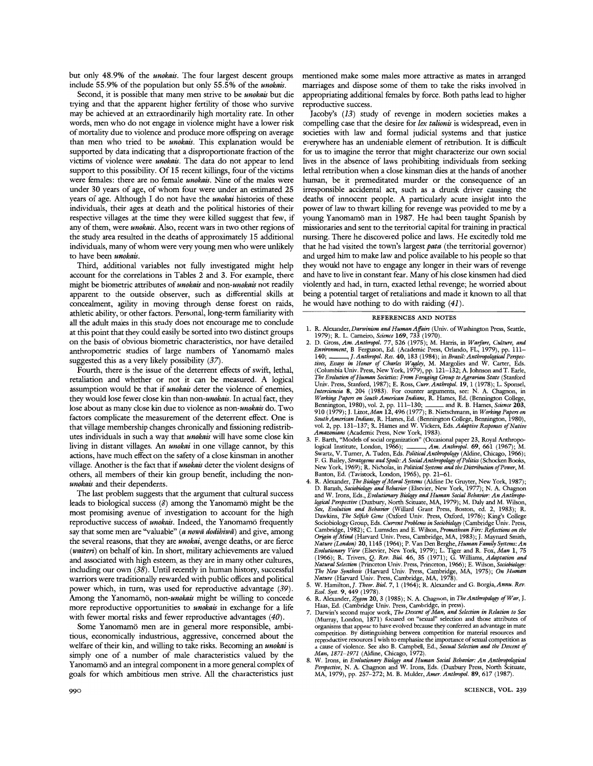**but only 48.9% of the unokais. The four largest descent groups include 55.9% of the population but only 55.5% of the unokais.** 

**Second, it is possible that many men strive to be unokais but die trying and that the apparent higher fertility of those who survive may be achieved at an extraordinarily high mortality rate. In other words, men who do not engage in violence might have a lower risk of mortality due to violence and produce more offspring on average than men who tried to be unokais. This explanation would be supported by data indicating that a disproportionate fraction of the victims of violence were unokais. The data do not appear to lend support to this possibility. Of 15 recent killings, four of the victims were females: there are no female unokais. Nine of the males were under 30 years of age, of whom four were under an estimated 25 years of age. Although I do not have the unokai histories of these individuals, their ages at death and the political histories of their respective villages at the time they were killed suggest that few, if any of them, were unokais. Also, recent wars in two other regions of the study area resulted in the deaths of approximately 15 additional individuals, many of whom were very young men who were unlikely to have been unokais.** 

**Third, additional variables not fully investigated might help account for the correlations in Tables 2 and 3. For example, there might be biometric attributes of unokais and non-unokais not readily apparent to the outside observer, such as differential skills at concealment, agility in moving through dense forest on raids, athletic ability, or other factors. Personal, long-term familiarity with all the adult males in this study does not encourage me to conclude at this point that they could easily be sorted into two distinct groups on the basis of obvious biometric characteristics, nor have detailed anthropometric studies of large numbers of Yanomamo males suggested this as a very likely possibility (37).** 

**Fourth, there is the issue of the deterrent effects of swift, lethal, retaliation and whether or not it can be measured. A logical assumption would be that if unokais deter the violence of enemies, they would lose fewer close kin than non-unokais. In actual fact, they lose about as many close kin due to violence as non-unokais do. Two factors complicate the measurement of the deterrent effect. One is that village membership changes chronically and fissioning redistributes individuals in such a way that unokais will have some close kin living in distant villages. An unokai in one village cannot, by this actions, have much effect on the safety of a close kinsman in another village. Another is the fact that if unokais deter the violent designs of others, all members of their kin group benefit, including the nonunokais and their dependents.** 

**The last problem suggests that the argument that cultural success leads to biological success (8) among the Yanomamo might be the most promising avenue of investigation to account for the high**  reproductive success of *unokais*. Indeed, the Yanomamö frequently say that some men are "valuable" (a nowä dodihiwä) and give, among **the several reasons, that they are unokai, avenge deaths, or are fierce (waiteri) on behalf of kin. In short, military achievements are valued and associated with high esteem, as they are in many other cultures, including our own (38). Until recently in human history, successful warriors were traditionally rewarded with public offices and political power which, in turn, was used for reproductive advantage (39). Among the Yanomam6, non-unokais might be willing to concede more reproductive opportunities to unokais in exchange for a life with fewer mortal risks and fewer reproductive advantages (40).** 

Some Yanomamö men are in general more responsible, ambi**tious, economically industrious, aggressive, concerned about the welfare of their kin, and willing to take risks. Becoming an unokai is simply one of a number of male characteristics valued by the**  Yanomamö and an integral component in a more general complex of **goals for which ambitious men strive. All the characteristics just**  **mentioned make some males more attractive as mates in arranged marriages and dispose some of them to take the risks involved in appropriating additional females by force. Both paths lead to higher reproductive success.** 

**Jacoby's (13) study of revenge in modern societies makes a compelling case that the desire for lex talionis is widespread, even in societies with law and formal judicial systems and that justice everywhere has an undeniable element of retribution. It is difficult for us to imagine the terror that might characterize our own social lives in the absence of laws prohibiting individuals from seeking lethal retribution when a close kinsman dies at the hands of another human, be it premeditated murder or the consequence of an irresponsible accidental act, such as a drunk driver causing the deaths of innocent people. A particularly acute insight into the power of law to thwart killing for revenge was provided to me by a young Yanomamo man in 1987. He had been taught Spanish by missionaries and sent to the territorial capital for training in practical nursing. There he discovered police and laws. He excitedly told me that he had visited the town's largest pata (the territorial governor) and urged him to make law and police available to his people so that they would not have to engage any longer in their wars of revenge and have to live in constant fear. Many of his close kinsmen had died violently and had, in turn, exacted lethal revenge; he worried about being a potential target of retaliations and made it known to all that he would have nothing to do with raiding (41).** 

#### **REFERENCES AND NOTES**

- **1. R. Alexander, Darwinism and Human Affairs (Univ. of Washington Press, Seattle, 1979); R. L. Carneiro, Science 169, 733 (1970).**
- **2. D. Gross, Am. Anthropol. 77, 526 (1975); M. Harris, in Warfare, Culture, and Environment, B. Ferguson, Ed. (Academic Press, Orlando, FL, 1979), pp. 111-**  140; \_\_\_\_\_\_, J. Anthropol. Res. 40, 183 (1984); in Brazil: Anthropological Perspec-<br>tives, Essays in Honor of Charles Wageley, M. Margolies and W. Carter, Eds.<br>(Columbia Univ. Press, New York, 1979), pp. 121–132; A. Johnso **The Evolution of Human Societies: From Foraging Group to Agrarian State (Stanford**  Univ. Press, Stanford, 1987); E. Ross, Curr. Anthropol. 19, 1 (1978); L. Sponsel, *Interciencia* 8, 204 (1983). For counter arguments, see: N. A. Chagnon, in Working Papers on South American Indians, R. Hames, Ed. (Bennington Colleg Bennington, 1980), vol. 2, pp. 111-130; \_\_\_\_\_ and R. B. Hames, Science **203**, <br>910 (1979); J. Lizot, *Man* 12, 496 (1977); B. Nietschmann, in Working Papers on **SouthAmerican Indians, R. Hames, Ed. (Bennington College, Bennington, 1980), vol. 2, pp. 131-137; R. Hames and W. Vickers, Eds. Adaptive Responses of Native Amazonians (Academic Press, New York, 1983). 3. F. Barth, "Models of social organization" (Occasional paper 23, Royal Anthropo-**
- logical Institute, London, 1966); \_\_\_\_\_*, Am. Anthropol. 6*9, 661 (1967); M.<br>Swartz, V. Turner, A. Tuden, Eds*. Political Anthropology* (Aldine, Chicago, 1966); **F. G. Bailey, Strategems and Spoils:A SocialAnthropology ofPolitics (Schocken Books, New York, 1969); R. Nicholas, in Political Systems and theDistribution ofPower, M. Banton, Ed. (Tavistock, London, 1965), pp. 21-61.**
- **4. R. Alexander, The Biology of Moral Systems (Aldine De Gruyter, New York, 1987); D. Barash, Sociobiology and Behavior (Elsevier, New York, 1977); N. A. Chagnon**  and W. Irons, Eds., Evolutionary Biology and Human Social Behavior: An Anthropo**logical Perspective (Duxbury, North Scituate, MA, 1979); M. Daly and M. Wilson, Sex, Evolution and Behavior (Willard Grant Press, Boston, ed. 2, 1983); R. Dawkins, The Selfish Gene (Oxford Univ. Press, Oxford, 1976); King's College Sociobiology Group, Eds. CurrentProblems in Sociobiology (Cambridge Univ. Press, Cambridge, 1982); C. Lumsden and E. Wilson, Promethean Fire: Reflections on the**  Origin of Mind (Harvard Univ. Press, Cambridge, MA, 1983); J. Maynard Smith,<br>*Nature (London) 2*0, 1145 (1964); P. Van Den Berghe, *Human Family Systems: An* Evolutionary View (Elsevier, New York, 1979); L. Tiger and R. Fox, Man 1, 75<br>(1966); R. Trivers, Q. Rev. Biol. 46, 35 (1971); G. Williams, Adaptation and<br>Natural Selection (Princeton Univ. Press, Princeton, 1966); E. Wilso The New Synthesis (Harvard Univ. Press, Cambridge, MA, 1975); On Human<br>Nature (Harvard Univ. Press, Cambridge, MA, 1978).<br>5. W. Hamilton, J. Theor. Biol. 7, 1 (1964); R. Alexander and G. Borgia, Annu. Rev.
- **Ecol. Syst. 9, 449 (1978).**
- **6. R. Alexander, Zygon 20, 3 (1985); N. A. Chagnon, in TheAnthropology of War, J. Haas, Ed. (Cambridge Univ. Press, Cambridge, in press).**
- 7. Darwin's second major work, *The Descent of Man, and Selection in Relation to Sex* (Murray, London, 1871) focused on "sexual" selection and those attributes of<br>(Murray, London, 1871) focused on "sexual" selection and th **competition. By distinguishing between competition for material resources and reproductive resources I wish to emphasize the importance of sexual competition as a cause of violence. See also B. Campbell, Ed., Sexual Selection and the Descent of Man, 1871-1971 (Aldine, Chicago, 1972).**
- 8. W. Irons, in Evolutionary Biology and Human Social Behavior: An Anthropological<br>Perspective, N. A. Chagnon and W. Irons, Eds. (Duxbury Press, North Scituate,<br>MA, 1979), pp. 257–272; M. B. Mulder, Amer. Anthropol. **89**,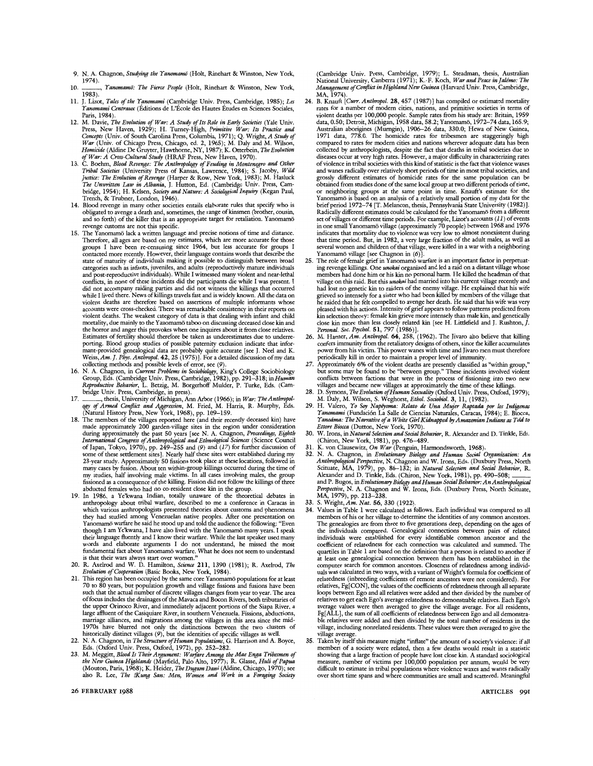**9. N. A. Chagnon, Studying the Yanomamd (Holt, Rinehart & Winston, New York, 1974).** 

10. **Tanomamo:** The Fierce People (Holt, Rinehart & Winston, New York, **1983).** 

- **11. J. Lizot, Tales of the Yanomami (Cambridge Univ. Press, Cambridge, 1985); Les Yanomami Centraux (Editions de L'Ecole des Hautes Etudes en Sciences Sociales, Paris, 1984).**
- 12. M. Davie, The Evolution of War: A Study of Its Role in Early Societies (Yale Univ. Press, New Haven, 1929); H. Turney-High, *Primitive War: Its Practice and Concepts* (Univ. of South Carolina Press, Columbia, 1971); Q. Wright, *A Study of* **War (Univ. of Chicago Press, Chicago, ed. 2, 1965); M. Daly and M. Wilson,**  Homicide (Aldine De Gruyter, Hawthorne, NY, 1987); K. Otterbein, The Evolution<br>of War: A Cross-Cultural Study (HRAF Press, New Haven, 1970).<br>13. C. Boehm, Blood Revenge: The Anthropology of Feuding in Montenegro and Other
- **Tribal Societies (University Press of Kansas, Lawrence, 1984); S. Jacoby, Wild Justice: The Evolution of Revenge (Harper & Row, New York, 1983); M. Hasluck The Unwritten Law in Albania, J. Hutton, Ed. (Cambridge Univ. Press, Cambridge, 1954); H. Kelsen, Society and Nature: A Sociological Inquiry (Kegan Paul, Trench, & Trubner, London, 1946).**
- **14. Blood revenge in many other societies entails elaborate rules that specify who is obligated to avenge a death and, sometimes, the range of kinsmen (brother, cousin, and so forth) of the killer that is an appropriate target for retaliation. Yanomamo**
- **revenge customs are not this specific. 15. The Yanomamo lack a written language and precise notions of time and distance. Therefore, all ages are based on my estimates, which are more accurate for those groups I have been re-censusing since 1964, but less accurate for groups I contacted more recently. However, their language contains words that describe the state of maturity of individuals making it possible to distinguish between broad**  categories such as infants, juveniles, and adults (reproductively mature individuals **and post-reproductive individuals). While I witnessed many violent and near-lethal conflicts, in none of these incidents did the participants die while I was present. I did not accompany raiding parties and did not witness the killings that occurred while I lived there. News of killings travels fast and is widely known. All the data on violent deaths are therefore based on assertions of multiple informants whose accounts were cross-checked. There was remarkable consistency in their reports on violent deaths. The weakest category of data is that dealing with infant and child mortality, due mainly to the Yanomamo taboo on discussing deceased close kin and the horror and anger this provokes when one inquires about it from close relatives. Estimates of fertility should therefore be taken as underestimates due to underre**porting. Blood group studies of possible paternity exclusion indicate that informant-provided genealogical data are probably quite accurate [see J. Neel and K. Weiss, Am. J. Phys. Anthropol. 42, 25 (1975)]. For a detailed
- collecting methods and possible levels of error, see (9).<br>16. N. A. Chagnon, in *Current Problems in Sociobiology*, King's College Sociobiology<br>Group, Eds. (Cambridge Univ. Press, Cambridge, 1982), pp. 291–318; in *Human*<br> **bridge Univ. Press, Cambridge, in press).**
- **17. .,, thesis, University of Michigan, Ann Arbor (1966); in War: TheAnthropol-ogy of Armed Conflict and Aggression, M. Fried, M. Harris, R. Murphy, Eds. (Natural History Press, New York, 1968), pp. 109-159.**
- **18. The members of the villages reported here (and their recently deceased kin) have made approximately 200 garden-village sites in the region under consideration**  during approximately the past 50 years [see N. A. Chagnon, Proceedings, Eighth International Congress of Anthropological and Ethnological Sciences (Science Council of Japan, Tokyo, 1970), pp. 249-255 and (9) and (17) for further discussion of **some of these settlement sites]. Nearly half these sites were established during my 23-year study. Approximately 50 fissions took place at these locations, followed in many cases by fusion. About ten within-group killings occurred during the time of my studies, half involving male victims. In all cases involving males, the group fissioned as a consequence of the killing. Fission did not follow the killings of three abducted females who had no co-resident close kin in the group.**
- **19. In 1986, a Ye'kwana Indian, totally unaware of the theoretical debates in anthropology about tribal warfare, described to me a conference in Caracas in**  which various anthropologists presented theories about customs and phenomena<br>they had studied among Venezuelan native peoples. After one presentation on<br>Yanomamö warfare he said he stood up and told the audience the follow **though I am Yekwana, I have also lived with the Yanomamo many years. I speak their language fluently and I know their warfare. While the last speaker used many**  words and elaborate arguments I do not understand, he missed the most fundamental fact about Yanomamö warfare. What he does not seem to understand **is that their wars always start over women." 20. R. Axelrod and W. D. Hamilton, Science 211, 1390 (1981); R. Axelrod, The**
- **Evolution of Cooperation (Basic Books, New York, 1984).**
- **21. This region has been occupied by the same core Yanomamo populations for at least 70 to 80 years, but population growth and village fissions and fusions have been such that the actual number of discrete villages changes from year to year. The area of focus includes the drainages of the Mavaca and Bocon Rivers, both tributaries of the upper Orinoco River, and immediately adjacent portions of the Siapa River, a large affluent of the Casiquiare River, in southern Venezuela. Fissions, abductions, marriage alliances, and migrations among the villages in this area since the mid-**1970s have blurred not only the distinctions between the two clusters of historically distinct villages  $\langle \rho \rangle$ , but the identities of specific villages as well.<br>22. N. A. Chagnon, in *The Structure of Human Populations*
- **Eds. (Oxford Univ. Press, Oxford, 1972), pp. 252-282.**
- 23. M. Meggitt, Blood Is Their Argument: Warfare Among the Mae Enga Tribesmen of the New Guinea Highlands (Mayfield, Palo Alto, 1977); R. Glasse, Huli of Papua **(Mouton, Paris, 1968); K. Heider, TheDusgumDani (Aldine, Chicago, 1970); see**  also R. Lee, The !Kung San: Men, Women and Work in a Foraging Society

(Cambridge Univ. Press, Cambridge, 1979); L. Steadman, thesis, Australian<br>National University, Canberra (1971); K.-F. Koch, War and Peace in Jalémo: The<br>Management of Conflict in Highland New Guinea (Harvard Univ. Press, C **MA, 1974).** 

- **24. B. Knauft [Curr. Anthropol. 28, 457 (1987)] has compiled or estimated mortality rates for a number of modern cities, nations, and primitive societies in terms of violent deaths per 100,000 people. Sample rates from his study are: Britain, 1959 data, 0.50; Detroit, Michigan, 1958 data, 58.2; Yanomamd, 1972-74 data, 165.9;**  Australian aborigines (Murngin), 1906-26 data, 330.0; Hewa of New Guinea **1971 data, 778.0. The homicide rates for tribesmen are staggeringly high compared to rates for modem cities and nations wherever adequate data has been collected by anthropologists, despite the fact that deaths in tribal societies due to diseases occur at very high rates. However, a major difficulty in characterizing rates of violence in tribal societies with this kind of statistic is the fact that violence waxes and wanes radically over relatively short periods of time in most tribal societies, and grossly different estimates of homicide rates for the same population can be obtained from studies done of the same local group at two different periods of time, or neighboring groups at the same point in time. Knauft's estimate for the Yanomamo is based on an analysis of a relatively small portion of my data for the brief period 1972-74 [T. Melancon, thesis, Pennsylvania State University (1982)]. Radically different estimates could be calculated for the Yanomamo from a different set of villages or different time periods. For example, Lizot's accounts (11) of events in one small Yanomamo village (approximately 70 people) between 1968 and 1976 indicates that mortality due to violence was very low to almost nonexistent during that time period. But, in 1982, a very large fraction of the adult males, as well as several women and children of that village, were killed in a war with a neighboring Yanomamo village [see Chagnon in (6)].**
- **25. The role of female grief in Yanomamo warfare is an important factor in perpetuating revenge killings. One unokai organized and led a raid on a distant village whose members had done him or his kin no personal harm. He killed the headman of that village on this raid. But this unokai had married into his current village recently and had lost no genetic kin to raiders of the enemy village. He explained that his wife**  grieved so intensely for a sister who had been killed by members of the village that<br>he raided that he felt compelled to avenge her death. He said that his wife was very<br>pleased with his actions. Intensity of grief appears close kin more than less closely related kin [see H. Littlefield and J. Rushton, *J. Personal. Soc. Psychol.* 51, 797 (1986)].<br>26. M. Harner, *Am. Anthropol.* 64, 258, (1962). The Jivaro also believe that killing
- **confers immunity from the retaliatory designs of others, since the killer accumulates power from his victim. This power wanes with time and Jivaro men must therefore periodically kill in order to maintain a proper level of immunity.**
- Approximately 6% of the violent deaths are presently classified as "within group, **but some may be found to be "between group." These incidents involved violent conflicts between factions that were in the process of fissioning into two new**
- villages and became new villages at approximately the time of these killings.<br>28. D. Symons, The Evolution of Human Sexuality (Oxford Univ. Press, Oxford, 1979);<br>M. Daly, M. Wilson, S. Weghorst, Ethol. Sociobiol. 3, 11, (1
- **29. H. Valero, Yo Soy Napiyoma: Relato de Una Mujer Raptada por los Indtqenas Yanomami (Fundaci6n La Salle de Ciencias Naturales, Caracas, 1984); E. Biocca, Yanodma: The Narrative of a White Girl Kidnapped by Amazonian Indians as Told to**  Ettore Biocca (Dutton, New York, 1970).<br>W. Irons, in Natural Selection and Social Behavior, R. Alexander and D. Tinkle, Eds.
- 
- 
- 30. W. Irons, in *Natural Selection and Social Behavior*, R. Alexander and D. Tinkle, Eds.<br>
(Chiron, New York, 1981), pp. 476–489.<br>
(Chiron, New York, 1968).<br>
31. K. von Clausewitz, *On War* (Penguin, Harmondsworth, 1968). and P. Bugos, in Evolutionary Biology and Human Social Behavior: An Anthropological<br>Perspective, N. A. Chagnon and W. Irons, Eds. (Duxbury Press, North Scituate, MA, 1979), pp. 213–238.<br>S. Wright, Am. Nat. 56, 330 (1922).
- 
- **34. Values in Table 1 were calculated as follows. Each individual was compared to all members of his or her village to determine the identities of any common ancestors. The genealogies are from three to five generations deep, depending on the ages of the individuals compared. Genealogical connections between pairs of related individuals were established for every identifiable common ancestor and the coefficient of relatedness for each connection was calculated and summed. The quartiles in Table 1 are based on the definition that a person is related to another if at least one genealogical connection between them has been established in the computer search for common ancestors. Closeness of relatedness among individuals was calculated in two ways, with a variant of Wright's formula for coefficient of relatedness (inbreeding coefficients of remote ancestors were not considered). For relatives, Fg[CON], the values of the coefficients of relatedness through all separate loops between Ego and all relatives were added and then divided by the number of relatives to get each Ego's average relatedness to demonstrable relatives. Each Ego's average values were then averaged to give the village average. For all residents, Fg[ALL], the sum of all coefficients of relatedness between Ego and all demonstrable relatives were added and then divided by the total number of residents in the village, including nonrelated residents. These values were then averaged to give the village average.**
- **35. Taken by itself this measure might "inflate" the amount of a society's violence: if all**  members of a society were related, then a few deaths would result in a statistic **showing that a large fraction of people have lost close kin. A standard sociological measure, number of victims per 100,000 population per annum, would be very difficult to estimate in tribal populations where violence waxes and wanes radically over short time spans and where communities are small and scattered. Meaningfull**